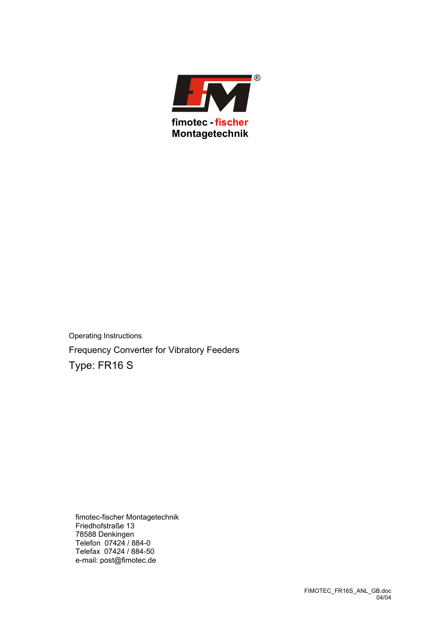

Operating Instructions Frequency Converter for Vibratory Feeders Type: FR16 S

fimotec-fischer Montagetechnik Friedhofstraße 13 78588 Denkingen Telefon 07424 / 884-0 Telefax 07424 / 884-50 e-mail: post@fimotec.de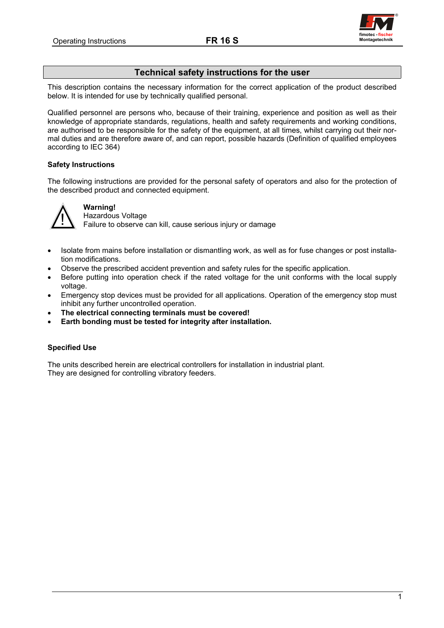

# **Technical safety instructions for the user**

<span id="page-1-0"></span>This description contains the necessary information for the correct application of the product described below. It is intended for use by technically qualified personal.

Qualified personnel are persons who, because of their training, experience and position as well as their knowledge of appropriate standards, regulations, health and safety requirements and working conditions, are authorised to be responsible for the safety of the equipment, at all times, whilst carrying out their normal duties and are therefore aware of, and can report, possible hazards (Definition of qualified employees according to IEC 364)

# **Safety Instructions**

The following instructions are provided for the personal safety of operators and also for the protection of the described product and connected equipment.



# **Warning!**

**IN** Hazardous Voltage<br> **Failure to observe can kill, cause serious injury or damage** 

- Isolate from mains before installation or dismantling work, as well as for fuse changes or post installation modifications.
- Observe the prescribed accident prevention and safety rules for the specific application.
- Before putting into operation check if the rated voltage for the unit conforms with the local supply voltage.
- Emergency stop devices must be provided for all applications. Operation of the emergency stop must inhibit any further uncontrolled operation.
- **The electrical connecting terminals must be covered!**
- **Earth bonding must be tested for integrity after installation.**

## **Specified Use**

The units described herein are electrical controllers for installation in industrial plant. They are designed for controlling vibratory feeders.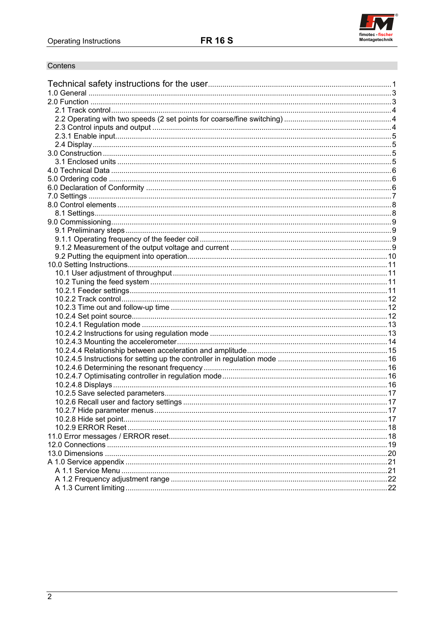

# Contens

| .17 |
|-----|
|     |
|     |
|     |
|     |
| 20  |
|     |
|     |
|     |
|     |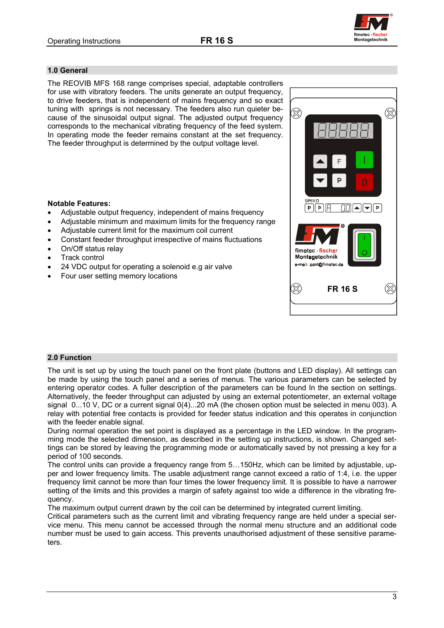

## <span id="page-3-0"></span>**1.0 General**

The REOVIB MFS 168 range comprises special, adaptable controllers for use with vibratory feeders. The units generate an output frequency, to drive feeders, that is independent of mains frequency and so exact tuning with springs is not necessary. The feeders also run quieter because of the sinusoidal output signal. The adjusted output frequency corresponds to the mechanical vibrating frequency of the feed system. In operating mode the feeder remains constant at the set frequency. The feeder throughput is determined by the output voltage level.

## **Notable Features:**

- Adjustable output frequency, independent of mains frequency
- Adjustable minimum and maximum limits for the frequency range
- Adjustable current limit for the maximum coil current
- Constant feeder throughput irrespective of mains fluctuations
- On/Off status relay
- **Track control**
- 24 VDC output for operating a solenoid e.g air valve
- Four user setting memory locations



## **2.0 Function**

The unit is set up by using the touch panel on the front plate (buttons and LED display). All settings can be made by using the touch panel and a series of menus. The various parameters can be selected by entering operator codes. A fuller description of the parameters can be found In the section on settings. Alternatively, the feeder throughput can adjusted by using an external potentiometer, an external voltage signal 0...10 V, DC or a current signal 0(4)...20 mA (the chosen option must be selected in menu 003). A relay with potential free contacts is provided for feeder status indication and this operates in conjunction with the feeder enable signal.

During normal operation the set point is displayed as a percentage in the LED window. In the programming mode the selected dimension, as described in the setting up instructions, is shown. Changed settings can be stored by leaving the programming mode or automatically saved by not pressing a key for a period of 100 seconds.

The control units can provide a frequency range from 5…150Hz, which can be limited by adjustable, upper and lower frequency limits. The usable adjustment range cannot exceed a ratio of 1:4, i.e. the upper frequency limit cannot be more than four times the lower frequency limit. It is possible to have a narrower setting of the limits and this provides a margin of safety against too wide a difference in the vibrating frequency.

The maximum output current drawn by the coil can be determined by integrated current limiting.

Critical parameters such as the current limit and vibrating frequency range are held under a special service menu. This menu cannot be accessed through the normal menu structure and an additional code number must be used to gain access. This prevents unauthorised adjustment of these sensitive parameters.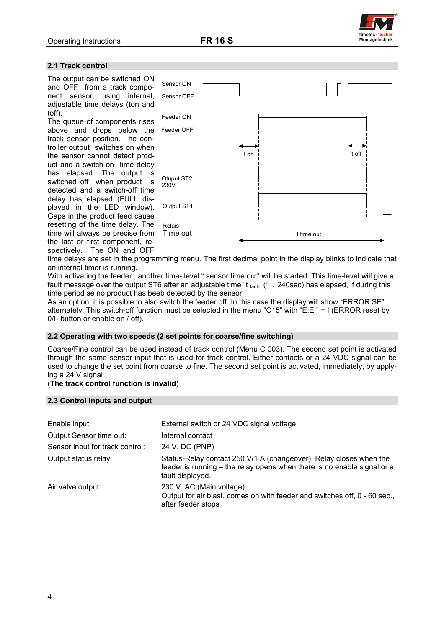

#### <span id="page-4-0"></span>**2.1 Track control**

The output can be switched ON and OFF from a track component sensor, using internal, adjustable time delays (ton and toff).

The queue of components rises above and drops below the track sensor position. The controller output switches on when the sensor cannot detect product and a switch-on time delay has elapsed. The output is switched off when product is detected and a switch-off time delay has elapsed (FULL displayed in the LED window). Gaps in the product feed cause resetting of the time delay. The time will always be precise from the last or first component, respectively. The ON and OFF



time delays are set in the programming menu. The first decimal point in the display blinks to indicate that an internal timer is running.

With activating the feeder, another time- level " sensor time out" will be started. This time-level will give a fault message over the output ST6 after an adjustable time "t fault (1...240sec) has elapsed, if during this time period se no product has beeb detected by the sensor.

As an option, it is possible to also switch the feeder off. In this case the display will show "ERROR SE" alternately. This switch-off function must be selected in the menu "C15" with "E:E:" = I (ERROR reset by 0/I- button or enable on / off).

#### **2.2 Operating with two speeds (2 set points for coarse/fine switching)**

Coarse/Fine control can be used instead of track control (Menu C 003). The second set point is activated through the same sensor input that is used for track control. Either contacts or a 24 VDC signal can be used to change the set point from coarse to fine. The second set point is activated, immediately, by applying a 24 V signal

## (**The track control function is invalid**)

#### **2.3 Control inputs and output**

| Enable input:                   | External switch or 24 VDC signal voltage                                                                                                                          |
|---------------------------------|-------------------------------------------------------------------------------------------------------------------------------------------------------------------|
| Output Sensor time out:         | Internal contact                                                                                                                                                  |
| Sensor input for track control: | 24 V, DC (PNP)                                                                                                                                                    |
| Output status relay             | Status-Relay contact 250 V/1 A (changeover). Relay closes when the<br>feeder is running – the relay opens when there is no enable signal or a<br>fault displayed. |
| Air valve output:               | 230 V, AC (Main voltage)<br>Output for air blast, comes on with feeder and switches off, 0 - 60 sec.,<br>after feeder stops                                       |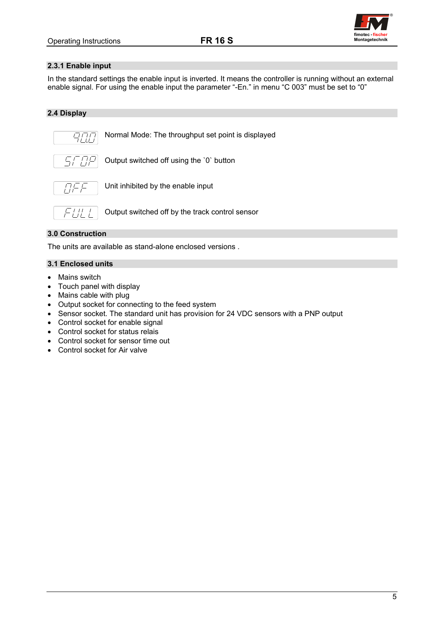

### <span id="page-5-0"></span>**2.3.1 Enable input**

In the standard settings the enable input is inverted. It means the controller is running without an external enable signal. For using the enable input the parameter "-En." in menu "C 003" must be set to "0"

## **2.4 Display**



Normal Mode: The throughput set point is displayed



Output switched off using the `0` button



Unit inhibited by the enable input



Output switched off by the track control sensor

## **3.0 Construction**

The units are available as stand-alone enclosed versions .

# **3.1 Enclosed units**

- Mains switch
- Touch panel with display
- Mains cable with plug
- Output socket for connecting to the feed system
- Sensor socket. The standard unit has provision for 24 VDC sensors with a PNP output
- Control socket for enable signal
- Control socket for status relais
- Control socket for sensor time out
- Control socket for Air valve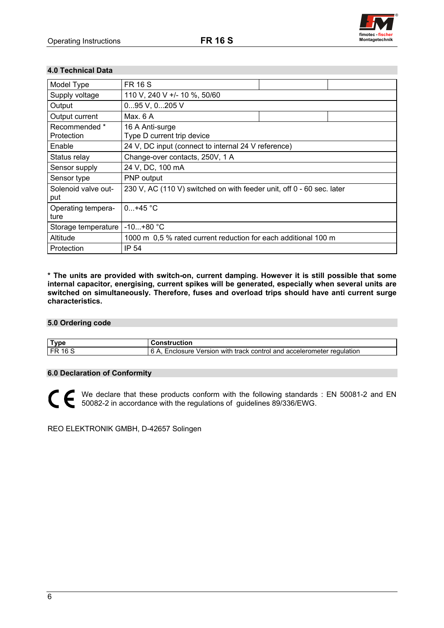<span id="page-6-0"></span>



## **4.0 Technical Data**

| Model Type                  | <b>FR 16 S</b>                                                        |  |  |  |  |
|-----------------------------|-----------------------------------------------------------------------|--|--|--|--|
| Supply voltage              | 110 V, 240 V +/- 10 %, 50/60                                          |  |  |  |  |
| Output                      | 095 V, 0205 V                                                         |  |  |  |  |
| Output current              | Max. 6 A                                                              |  |  |  |  |
| Recommended *<br>Protection | 16 A Anti-surge<br>Type D current trip device                         |  |  |  |  |
| Enable                      | 24 V, DC input (connect to internal 24 V reference)                   |  |  |  |  |
| Status relay                | Change-over contacts, 250V, 1 A                                       |  |  |  |  |
| Sensor supply               | 24 V, DC, 100 mA                                                      |  |  |  |  |
| Sensor type                 | <b>PNP</b> output                                                     |  |  |  |  |
| Solenoid valve out-<br>put  | 230 V, AC (110 V) switched on with feeder unit, off 0 - 60 sec. later |  |  |  |  |
| Operating tempera-<br>ture  | $0+45 °C$                                                             |  |  |  |  |
| Storage temperature         | $-10+80 °C$                                                           |  |  |  |  |
| Altitude                    | 1000 m 0.5 % rated current reduction for each additional 100 m        |  |  |  |  |
| Protection                  | IP 54                                                                 |  |  |  |  |

**\* The units are provided with switch-on, current damping. However it is still possible that some internal capacitor, energising, current spikes will be generated, especially when several units are switched on simultaneously. Therefore, fuses and overload trips should have anti current surge characteristics.** 

#### **5.0 Ordering code**

| `vnc | .<br>.<br>:tior                                                                                           |
|------|-----------------------------------------------------------------------------------------------------------|
| . EF | .<br>∩∩nı.<br>acc.<br>regulation<br>Version<br>sure i<br>ano<br>track:<br>with<br>celer:<br>פחר<br>ometer |

### **6.0 Declaration of Conformity**

We declare that these products conform with the following standards : EN 50081-2 and EN 50082-2 in accordance with the regulations of guidelines 89/336/EWG.

REO ELEKTRONIK GMBH, D-42657 Solingen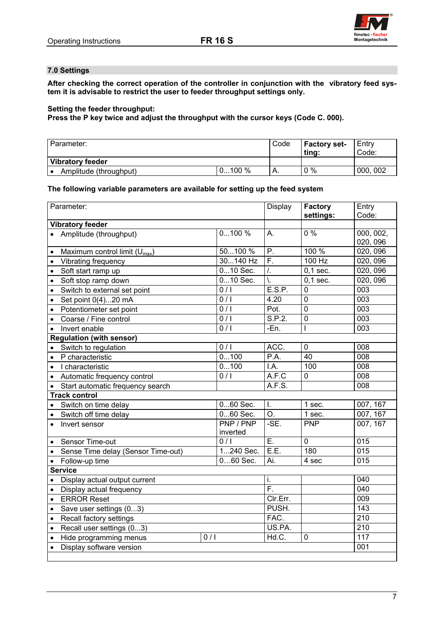

## <span id="page-7-0"></span>**7.0 Settings**

**After checking the correct operation of the controller in conjunction with the vibratory feed system it is advisable to restrict the user to feeder throughput settings only.**

# **Setting the feeder throughput:**

**Press the P key twice and adjust the throughput with the cursor keys (Code C. 000).** 

| l Parameter:           |          | Code | Factory set-<br>ting: | Entry<br>Code: |
|------------------------|----------|------|-----------------------|----------------|
| Vibratory feeder       |          |      |                       |                |
| Amplitude (throughput) | $0100\%$ |      | $0\%$                 | 000, 002       |

### **The following variable parameters are available for setting up the feed system**

| Parameter: |                                           |                  | Display                   | <b>Factory</b>          | Entry                 |
|------------|-------------------------------------------|------------------|---------------------------|-------------------------|-----------------------|
|            |                                           |                  |                           | settings:               | Code:                 |
|            | <b>Vibratory feeder</b>                   |                  |                           |                         |                       |
|            | • Amplitude (throughput)                  | 0100%            | A.                        | $0\%$                   | 000, 002,<br>020, 096 |
| $\bullet$  | Maximum control limit (U <sub>max</sub> ) | 50100 %          | Ρ.                        | 100 %                   | 020, 096              |
|            | Vibrating frequency                       | 30140 Hz         | $\overline{\mathsf{F}}$ . | $100$ Hz                | 020, 096              |
| $\bullet$  | Soft start ramp up                        | $010$ Sec.       | $\overline{I}$ .          | $\overline{0}$ , 1 sec. | 020, 096              |
| $\bullet$  | Soft stop ramp down                       | $010$ Sec.       | Ϊ.                        | $0.1$ sec.              | 020, 096              |
| $\bullet$  | Switch to external set point              | 0/1              | E.S.P.                    | $\mathbf 0$             | $\overline{003}$      |
| $\bullet$  | Set point 0(4)20 mA                       | $\overline{0/1}$ | 4.20                      | $\overline{0}$          | 003                   |
| $\bullet$  | Potentiometer set point                   | 0/1              | Pot.                      | $\mathbf 0$             | 003                   |
| $\bullet$  | Coarse / Fine control                     | 0/1              | S.P.2.                    | $\mathbf 0$             | $\overline{003}$      |
|            | Invert enable                             | 0/1              | -En.                      |                         | 003                   |
|            | <b>Regulation (with sensor)</b>           |                  |                           |                         |                       |
|            | Switch to regulation                      | $\overline{0/1}$ | ACC.                      | $\mathbf 0$             | 008                   |
| $\bullet$  | P characteristic                          | 0100             | P.A.                      | 40                      | 008                   |
| $\bullet$  | I characteristic                          | 0100             | $\overline{A}$ .          | 100                     | $\overline{008}$      |
|            | Automatic frequency control               | 0/1              | A.F.C                     | $\mathbf 0$             | $\overline{008}$      |
|            | Start automatic frequency search          |                  | A.F.S.                    |                         | 008                   |
|            | <b>Track control</b>                      |                  |                           |                         |                       |
|            | Switch on time delay                      | 060 Sec.         | Ī.                        | 1 sec.                  | 007, 167              |
|            | Switch off time delay                     | 060 Sec.         | O.                        | 1 sec.                  | 007, 167              |
|            | Invert sensor                             | PNP / PNP        | $-SE.$                    | <b>PNP</b>              | 007, 167              |
|            |                                           | inverted         |                           |                         |                       |
| $\bullet$  | Sensor Time-out                           | 0/1              | $\overline{E}$ .          | $\mathbf 0$             | 015                   |
| $\bullet$  | Sense Time delay (Sensor Time-out)        | 1240 Sec.        | E.E.                      | 180                     | $\overline{015}$      |
| $\bullet$  | Follow-up time                            | $060$ Sec.       | Ai.                       | 4 sec                   | 015                   |
|            | <b>Service</b>                            |                  |                           |                         |                       |
| $\bullet$  | Display actual output current             |                  | i.                        |                         | 040                   |
|            | Display actual frequency<br>$\bullet$     |                  | F.                        |                         | $\overline{040}$      |
|            | <b>ERROR Reset</b><br>$\bullet$           |                  | CIr.Err.                  |                         | 009                   |
| $\bullet$  | Save user settings (03)                   |                  | PUSH.                     |                         | 143                   |
| $\bullet$  | Recall factory settings                   |                  | FAC.                      |                         | $\overline{210}$      |
| $\bullet$  | Recall user settings (03)                 |                  | US.PA.                    |                         | $\overline{210}$      |
| $\bullet$  | Hide programming menus                    | 0/1              | Hd.C.                     | $\mathbf 0$             | 117                   |
| $\bullet$  | Display software version                  |                  |                           |                         | 001                   |
|            |                                           |                  |                           |                         |                       |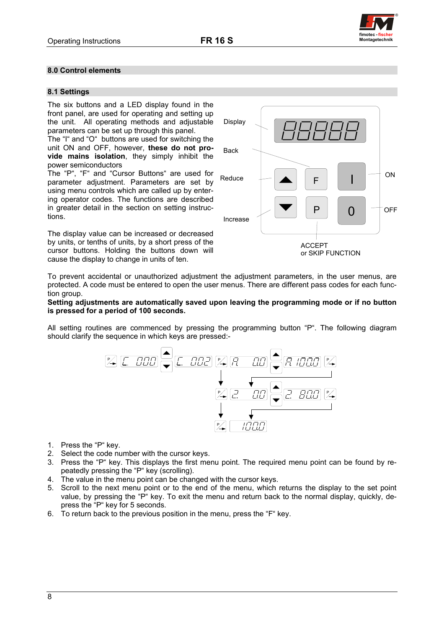

## <span id="page-8-0"></span>**8.0 Control elements**

### **8.1 Settings**

The six buttons and a LED display found in the front panel, are used for operating and setting up the unit. All operating methods and adjustable parameters can be set up through this panel.

The "I" and "O" buttons are used for switching the unit ON and OFF, however, **these do not provide mains isolation**, they simply inhibit the power semiconductors

The "P", "F" and "Cursor Buttons" are used for parameter adjustment. Parameters are set by using menu controls which are called up by entering operator codes. The functions are described in greater detail in the section on setting instructions.

The display value can be increased or decreased by units, or tenths of units, by a short press of the cursor buttons. Holding the buttons down will cause the display to change in units of ten.



To prevent accidental or unauthorized adjustment the adjustment parameters, in the user menus, are protected. A code must be entered to open the user menus. There are different pass codes for each function group.

#### **Setting adjustments are automatically saved upon leaving the programming mode or if no button is pressed for a period of 100 seconds.**

All setting routines are commenced by pressing the programming button "P". The following diagram should clarify the sequence in which keys are pressed:-



- 1. Press the "P" key.
- 2. Select the code number with the cursor keys.
- 3. Press the "P" key. This displays the first menu point. The required menu point can be found by repeatedly pressing the "P" key (scrolling).
- 4. The value in the menu point can be changed with the cursor keys.
- 5. Scroll to the next menu point or to the end of the menu, which returns the display to the set point value, by pressing the "P" key. To exit the menu and return back to the normal display, quickly, depress the "P" key for 5 seconds.
- 6. To return back to the previous position in the menu, press the "F" key.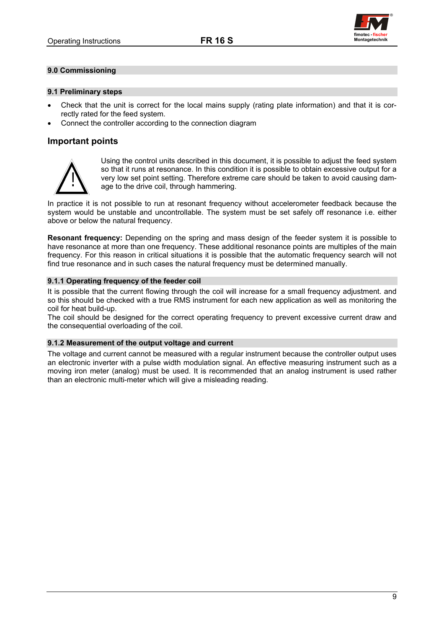

### <span id="page-9-0"></span>**9.0 Commissioning**

#### **9.1 Preliminary steps**

- Check that the unit is correct for the local mains supply (rating plate information) and that it is correctly rated for the feed system.
- Connect the controller according to the connection diagram

## **Important points**



Using the control units described in this document, it is possible to adjust the feed system so that it runs at resonance. In this condition it is possible to obtain excessive output for a very low set point setting. Therefore extreme care should be taken to avoid causing dam- age to the drive coil, through hammering.

In practice it is not possible to run at resonant frequency without accelerometer feedback because the system would be unstable and uncontrollable. The system must be set safely off resonance i.e. either above or below the natural frequency.

**Resonant frequency:** Depending on the spring and mass design of the feeder system it is possible to have resonance at more than one frequency. These additional resonance points are multiples of the main frequency. For this reason in critical situations it is possible that the automatic frequency search will not find true resonance and in such cases the natural frequency must be determined manually.

### **9.1.1 Operating frequency of the feeder coil**

It is possible that the current flowing through the coil will increase for a small frequency adjustment. and so this should be checked with a true RMS instrument for each new application as well as monitoring the coil for heat build-up.

The coil should be designed for the correct operating frequency to prevent excessive current draw and the consequential overloading of the coil.

#### **9.1.2 Measurement of the output voltage and current**

The voltage and current cannot be measured with a regular instrument because the controller output uses an electronic inverter with a pulse width modulation signal. An effective measuring instrument such as a moving iron meter (analog) must be used. It is recommended that an analog instrument is used rather than an electronic multi-meter which will give a misleading reading.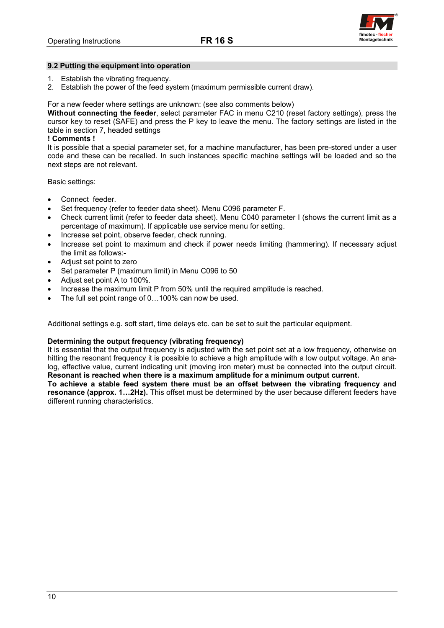

### <span id="page-10-0"></span>**9.2 Putting the equipment into operation**

- 1. Establish the vibrating frequency.
- 2. Establish the power of the feed system (maximum permissible current draw).

### For a new feeder where settings are unknown: (see also comments below)

**Without connecting the feeder**, select parameter FAC in menu C210 (reset factory settings), press the cursor key to reset (SAFE) and press the P key to leave the menu. The factory settings are listed in the table in section 7, headed settings

### **! Comments !**

It is possible that a special parameter set, for a machine manufacturer, has been pre-stored under a user code and these can be recalled. In such instances specific machine settings will be loaded and so the next steps are not relevant.

Basic settings:

- Connect feeder.
- Set frequency (refer to feeder data sheet). Menu C096 parameter F.
- Check current limit (refer to feeder data sheet). Menu C040 parameter I (shows the current limit as a percentage of maximum). If applicable use service menu for setting.
- Increase set point, observe feeder, check running.
- Increase set point to maximum and check if power needs limiting (hammering). If necessary adjust the limit as follows:-
- Adjust set point to zero
- Set parameter P (maximum limit) in Menu C096 to 50
- Adjust set point A to 100%.
- Increase the maximum limit P from 50% until the required amplitude is reached.
- The full set point range of 0...100% can now be used.

Additional settings e.g. soft start, time delays etc. can be set to suit the particular equipment.

#### **Determining the output frequency (vibrating frequency)**

It is essential that the output frequency is adjusted with the set point set at a low frequency, otherwise on hitting the resonant frequency it is possible to achieve a high amplitude with a low output voltage. An analog, effective value, current indicating unit (moving iron meter) must be connected into the output circuit. **Resonant is reached when there is a maximum amplitude for a minimum output current.** 

**To achieve a stable feed system there must be an offset between the vibrating frequency and resonance (approx. 1…2Hz).** This offset must be determined by the user because different feeders have different running characteristics.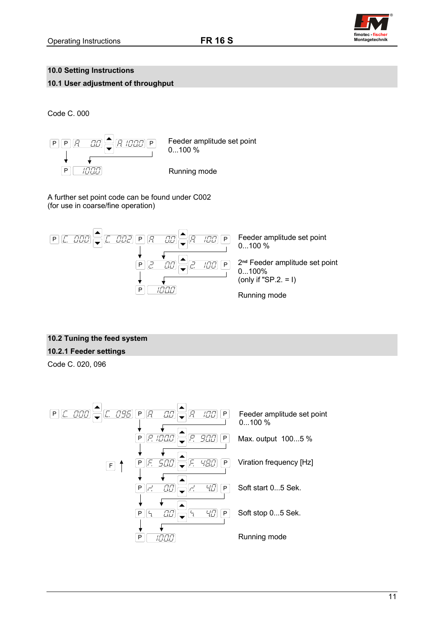

# <span id="page-11-0"></span>**10.0 Setting Instructions**

# **10.1 User adjustment of throughput**

Code C. 000



A further set point code can be found under C002 (for use in coarse/fine operation)



# **10.2 Tuning the feed system**

# **10.2.1 Feeder settings**

Code C. 020, 096

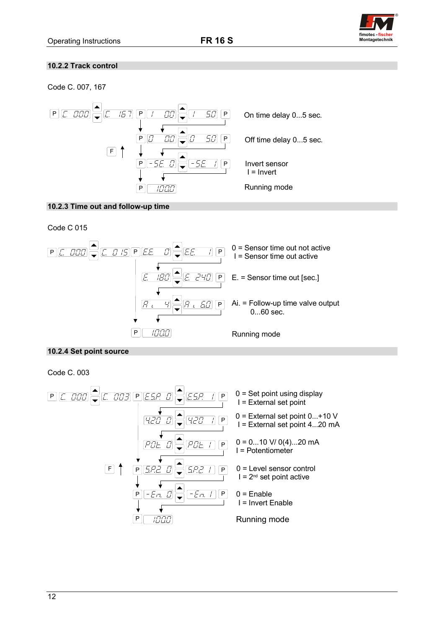

## <span id="page-12-0"></span>**10.2.2 Track control**

Code C. 007, 167



## **10.2.3 Time out and follow-up time**

Code C 015



## **10.2.4 Set point source**

Code C. 003

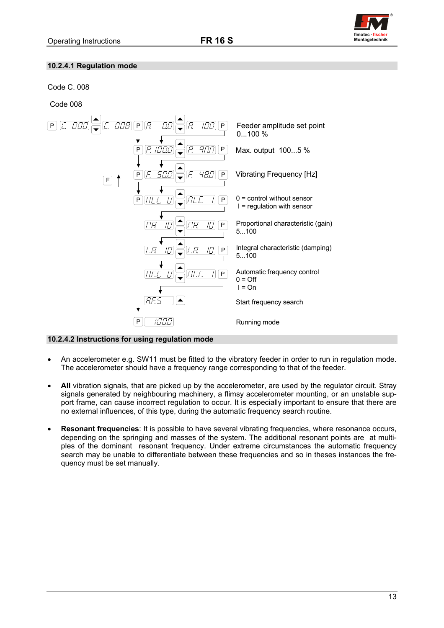

## <span id="page-13-0"></span>**10.2.4.1 Regulation mode**

## Code C. 008

Code 008



## **10.2.4.2 Instructions for using regulation mode**

- An accelerometer e.g. SW11 must be fitted to the vibratory feeder in order to run in regulation mode. The accelerometer should have a frequency range corresponding to that of the feeder.
- **All** vibration signals, that are picked up by the accelerometer, are used by the regulator circuit. Stray signals generated by neighbouring machinery, a flimsy accelerometer mounting, or an unstable support frame, can cause incorrect regulation to occur. It is especially important to ensure that there are no external influences, of this type, during the automatic frequency search routine.
- **Resonant frequencies**: It is possible to have several vibrating frequencies, where resonance occurs, depending on the springing and masses of the system. The additional resonant points are at multiples of the dominant resonant frequency. Under extreme circumstances the automatic frequency search may be unable to differentiate between these frequencies and so in theses instances the frequency must be set manually.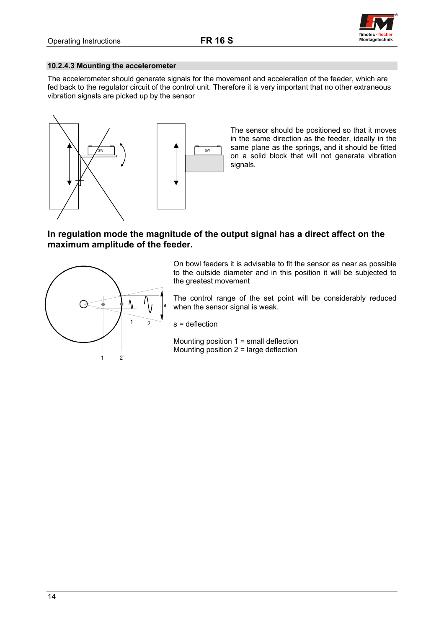

### <span id="page-14-0"></span>**10.2.4.3 Mounting the accelerometer**

The accelerometer should generate signals for the movement and acceleration of the feeder, which are fed back to the regulator circuit of the control unit. Therefore it is very important that no other extraneous vibration signals are picked up by the sensor



The sensor should be positioned so that it moves in the same direction as the feeder, ideally in the same plane as the springs, and it should be fitted on a solid block that will not generate vibration signals.

# **In regulation mode the magnitude of the output signal has a direct affect on the maximum amplitude of the feeder.**



On bowl feeders it is advisable to fit the sensor as near as possible to the outside diameter and in this position it will be subjected to the greatest movement

The control range of the set point will be considerably reduced when the sensor signal is weak.

s = deflection

Mounting position 1 = small deflection Mounting position 2 = large deflection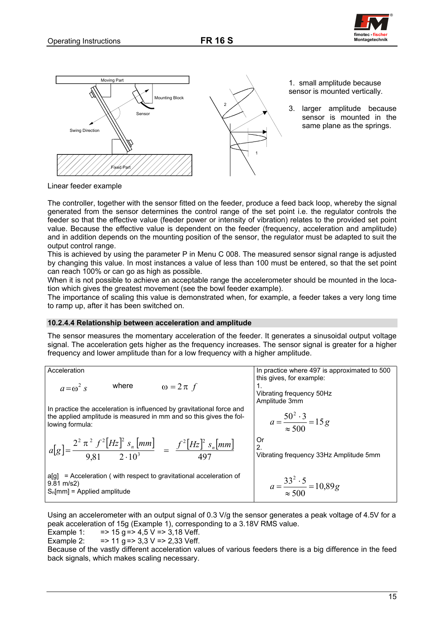

<span id="page-15-0"></span>

Linear feeder example

The controller, together with the sensor fitted on the feeder, produce a feed back loop, whereby the signal generated from the sensor determines the control range of the set point i.e. the regulator controls the feeder so that the effective value (feeder power or intensity of vibration) relates to the provided set point value. Because the effective value is dependent on the feeder (frequency, acceleration and amplitude) and in addition depends on the mounting position of the sensor, the regulator must be adapted to suit the output control range.

This is achieved by using the parameter P in Menu C 008. The measured sensor signal range is adjusted by changing this value. In most instances a value of less than 100 must be entered, so that the set point can reach 100% or can go as high as possible.

When it is not possible to achieve an acceptable range the accelerometer should be mounted in the location which gives the greatest movement (see the bowl feeder example).

The importance of scaling this value is demonstrated when, for example, a feeder takes a very long time to ramp up, after it has been switched on.

### **10.2.4.4 Relationship between acceleration and amplitude**

The sensor measures the momentary acceleration of the feeder. It generates a sinusoidal output voltage signal. The acceleration gets higher as the frequency increases. The sensor signal is greater for a higher frequency and lower amplitude than for a low frequency with a higher amplitude.

Acceleration

\n

| $a = \omega^2 s$                                                                                                                                       | where         | $\omega = 2 \pi f$ | In practice where 497 is approximated to 500 this gives, for example: |
|--------------------------------------------------------------------------------------------------------------------------------------------------------|---------------|--------------------|-----------------------------------------------------------------------|
| In practice the acceleration is influenced by gravitational force and the applied amplitude is measured in mm and so this gives the following formula: | Amplitude 3mm |                    |                                                                       |
| $a[g] = \frac{2^2 \pi^2 f^2 [Hz]^2 s_n [mm]}{9,81} = \frac{f^2 [Hz]^2 s_n [mm]}{497} = \frac{f^2 [Hz]^2 s_n [mm]}{497}$ \n                             | Or            |                    |                                                                       |
| $a[g] = \text{Acceleration (with respect to gravitational acceleration of 9.81 m/s2)}$                                                                 | Or            |                    |                                                                       |
| $a[g] = \text{Acceleration (with respect to gravitational acceleration of 9.81 m/s2)}$                                                                 | Or            |                    |                                                                       |
| $a = \frac{33^2 \cdot 5}{\approx 500} = 10,89g$                                                                                                        | 7.5 cm        |                    |                                                                       |

Using an accelerometer with an output signal of 0.3 V/g the sensor generates a peak voltage of 4.5V for a peak acceleration of 15g (Example 1), corresponding to a 3.18V RMS value.

Example 1:  $=$  > 15 g = > 4,5 V = > 3,18 Veff.

Example 2:  $=$  > 11 g = > 3,3 V = > 2,33 Veff.

Because of the vastly different acceleration values of various feeders there is a big difference in the feed back signals, which makes scaling necessary.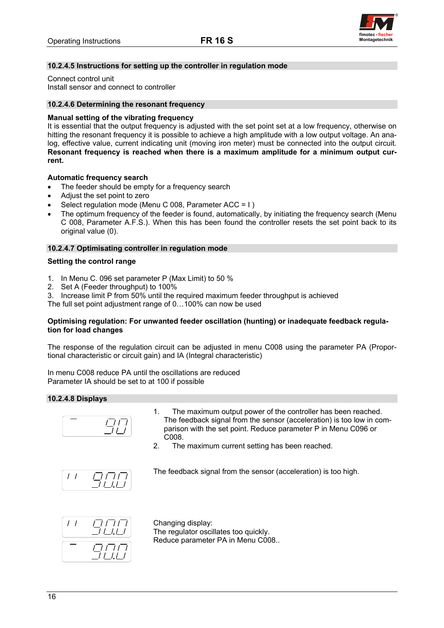

## <span id="page-16-0"></span>**10.2.4.5 Instructions for setting up the controller in regulation mode**

Connect control unit Install sensor and connect to controller

### **10.2.4.6 Determining the resonant frequency**

### **Manual setting of the vibrating frequency**

It is essential that the output frequency is adjusted with the set point set at a low frequency, otherwise on hitting the resonant frequency it is possible to achieve a high amplitude with a low output voltage. An analog, effective value, current indicating unit (moving iron meter) must be connected into the output circuit. **Resonant frequency is reached when there is a maximum amplitude for a minimum output current.** 

### **Automatic frequency search**

- The feeder should be empty for a frequency search
- Adjust the set point to zero
- Select regulation mode (Menu C 008, Parameter ACC = I )
- The optimum frequency of the feeder is found, automatically, by initiating the frequency search (Menu C 008, Parameter A.F.S.). When this has been found the controller resets the set point back to its original value (0).

### **10.2.4.7 Optimisating controller in regulation mode**

#### **Setting the control range**

- 1. In Menu C. 096 set parameter P (Max Limit) to 50 %
- 2. Set A (Feeder throughput) to 100%
- 3. Increase limit P from 50% until the required maximum feeder throughput is achieved

The full set point adjustment range of 0…100% can now be used

### **Optimising regulation: For unwanted feeder oscillation (hunting) or inadequate feedback regulation for load changes**

The response of the regulation circuit can be adjusted in menu C008 using the parameter PA (Proportional characteristic or circuit gain) and IA (Integral characteristic)

In menu C008 reduce PA until the oscillations are reduced Parameter IA should be set to at 100 if possible

## **10.2.4.8 Displays**



- 1. The maximum output power of the controller has been reached. The feedback signal from the sensor (acceleration) is too low in comparison with the set point. Reduce parameter P in Menu C096 or C008.
- 2. The maximum current setting has been reached.



The feedback signal from the sensor (acceleration) is too high.



Changing display: The regulator oscillates too quickly. Reduce parameter PA in Menu C008..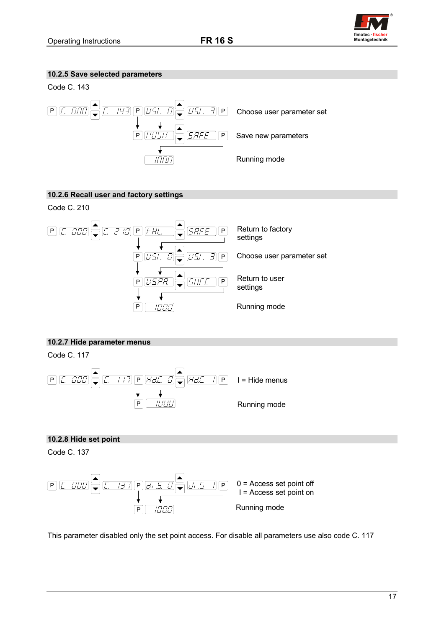# <span id="page-17-0"></span>**10.2.5 Save selected parameters**





# **10.2.6 Recall user and factory settings**

Code C. 210



# **10.2.7 Hide parameter menus**

Code C. 117



# **10.2.8 Hide set point**

Code C. 137



This parameter disabled only the set point access. For disable all parameters use also code C. 117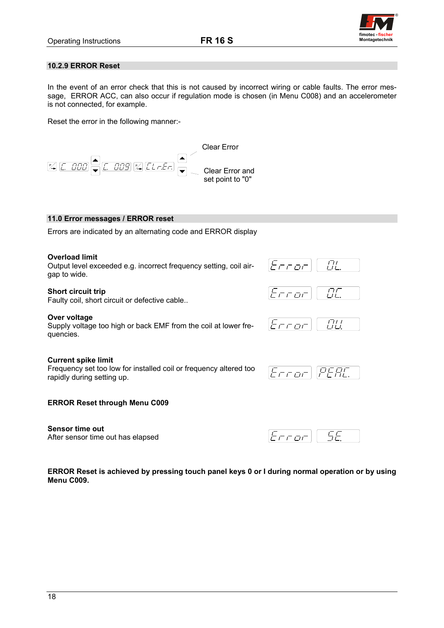

### <span id="page-18-0"></span>**10.2.9 ERROR Reset**

In the event of an error check that this is not caused by incorrect wiring or cable faults. The error message, ERROR ACC, can also occur if regulation mode is chosen (in Menu C008) and an accelerometer is not connected, for example.

Reset the error in the following manner:-



### **11.0 Error messages / ERROR reset**

Errors are indicated by an alternating code and ERROR display

#### **Overload limit**

Output level exceeded e.g. incorrect frequency setting, coil airgap to wide.

#### **Short circuit trip**

Faulty coil, short circuit or defective cable..

#### **Over voltage**

Supply voltage too high or back EMF from the coil at lower frequencies.

#### **Current spike limit**

Frequency set too low for installed coil or frequency altered too rapidly during setting up.

# PFAL  $T \cap T \cup T$

 $\overline{H}$ 

ורו

 $F$ rrar

n din

t cod

## **ERROR Reset through Menu C009**

**Sensor time out**  After sensor time out has elapsed

5F  $E$ rror

**ERROR Reset is achieved by pressing touch panel keys 0 or I during normal operation or by using Menu C009.**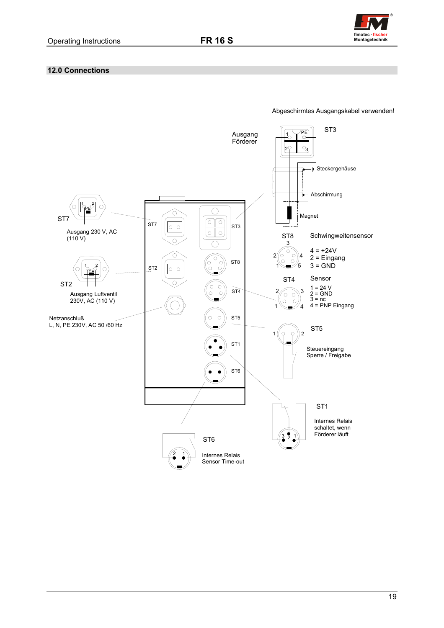

## <span id="page-19-0"></span>**12.0 Connections**



Abgeschirmtes Ausgangskabel verwenden!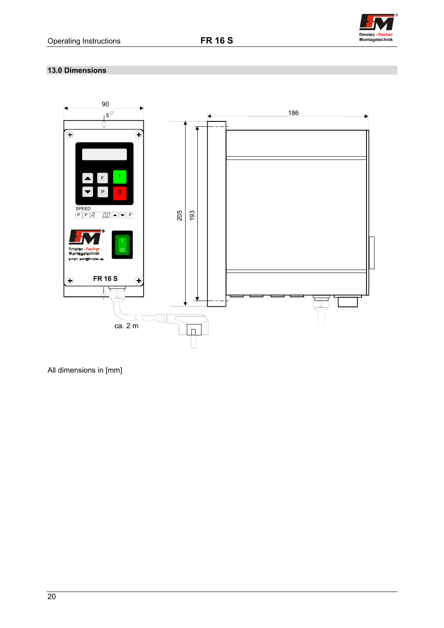

## <span id="page-20-0"></span>**13.0 Dimensions**



All dimensions in [mm]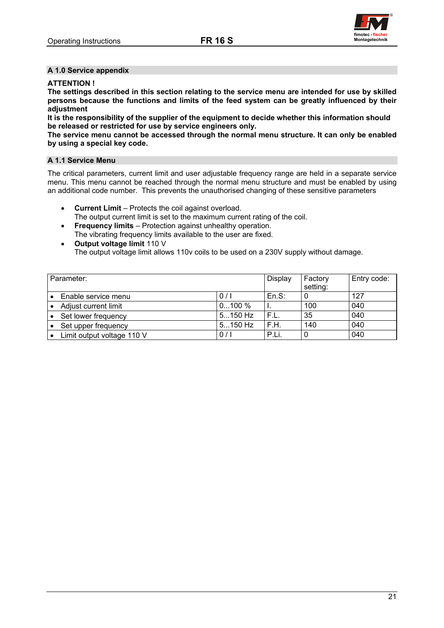

### <span id="page-21-0"></span>**A 1.0 Service appendix**

### **ATTENTION !**

**The settings described in this section relating to the service menu are intended for use by skilled persons because the functions and limits of the feed system can be greatly influenced by their adjustment** 

**It is the responsibility of the supplier of the equipment to decide whether this information should be released or restricted for use by service engineers only.** 

**The service menu cannot be accessed through the normal menu structure. It can only be enabled by using a special key code.** 

### **A 1.1 Service Menu**

The critical parameters, current limit and user adjustable frequency range are held in a separate service menu. This menu cannot be reached through the normal menu structure and must be enabled by using an additional code number. This prevents the unauthorised changing of these sensitive parameters

- **Current Limit** Protects the coil against overload.
- The output current limit is set to the maximum current rating of the coil.
- **Frequency limits** Protection against unhealthy operation. The vibrating frequency limits available to the user are fixed.
- **Output voltage limit** 110 V The output voltage limit allows 110v coils to be used on a 230V supply without damage.

| Parameter: |                            | Display   | Factory<br>setting: | Entry code: |     |
|------------|----------------------------|-----------|---------------------|-------------|-----|
|            | Enable service menu        | 0/1       | En.S.               |             | 127 |
|            | Adjust current limit       | 0100%     |                     | 100         | 040 |
|            | Set lower frequency        | $5150$ Hz | F.L.                | 35          | 040 |
|            | Set upper frequency        | $5150$ Hz | F.H.                | 140         | 040 |
|            | Limit output voltage 110 V | 0/1       | P.Li.               |             | 040 |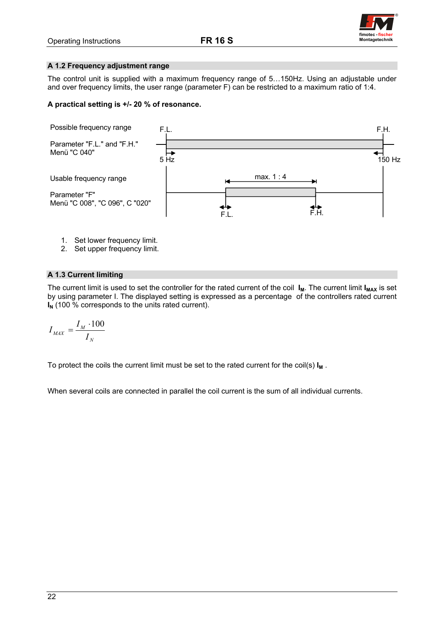

## <span id="page-22-0"></span>**A 1.2 Frequency adjustment range**

The control unit is supplied with a maximum frequency range of 5…150Hz. Using an adjustable under and over frequency limits, the user range (parameter F) can be restricted to a maximum ratio of 1:4.

## **A practical setting is +/- 20 % of resonance.**



- 1. Set lower frequency limit.
- 2. Set upper frequency limit.

## **A 1.3 Current limiting**

The current limit is used to set the controller for the rated current of the coil I<sub>M</sub>. The current limit I<sub>MAX</sub> is set by using parameter I. The displayed setting is expressed as a percentage of the controllers rated current **I<sub>N</sub>** (100 % corresponds to the units rated current).

$$
I_{MAX} = \frac{I_M \cdot 100}{I_N}
$$

To protect the coils the current limit must be set to the rated current for the coil(s)  $I_M$ .

When several coils are connected in parallel the coil current is the sum of all individual currents.